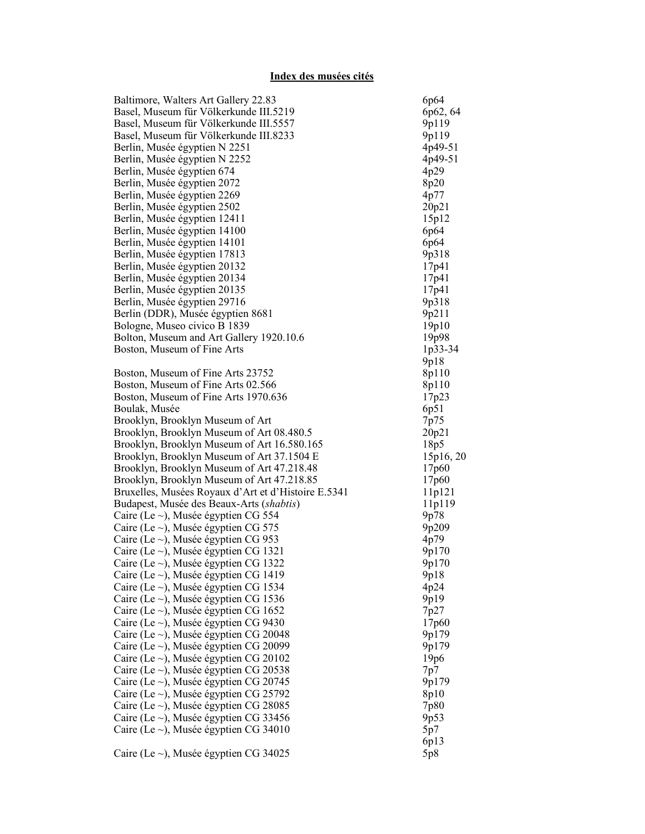## Index des musées cités

| Baltimore, Walters Art Gallery 22.83                | 6p64              |
|-----------------------------------------------------|-------------------|
| Basel, Museum für Völkerkunde III.5219              | 6p62, 64          |
| Basel, Museum für Völkerkunde III.5557              | 9p119             |
| Basel, Museum für Völkerkunde III.8233              | 9p119             |
| Berlin, Musée égyptien N 2251                       | 4p49-51           |
| Berlin, Musée égyptien N 2252                       | 4p49-51           |
| Berlin, Musée égyptien 674                          | 4p29              |
| Berlin, Musée égyptien 2072                         | 8p20              |
| Berlin, Musée égyptien 2269                         | 4p77              |
| Berlin, Musée égyptien 2502                         | 20p21             |
| Berlin, Musée égyptien 12411                        | 15p12             |
| Berlin, Musée égyptien 14100                        | 6p64              |
| Berlin, Musée égyptien 14101                        | 6p64              |
| Berlin, Musée égyptien 17813                        | 9p318             |
| Berlin, Musée égyptien 20132                        | 17p41             |
| Berlin, Musée égyptien 20134                        | 17p41             |
| Berlin, Musée égyptien 20135                        | 17p41             |
| Berlin, Musée égyptien 29716                        | 9p318             |
| Berlin (DDR), Musée égyptien 8681                   | 9p211             |
| Bologne, Museo civico B 1839                        | 19p10             |
| Bolton, Museum and Art Gallery 1920.10.6            | 19p98             |
| Boston, Museum of Fine Arts                         | 1p33-34           |
|                                                     | 9p18              |
| Boston, Museum of Fine Arts 23752                   | 8p110             |
| Boston, Museum of Fine Arts 02.566                  | 8p110             |
| Boston, Museum of Fine Arts 1970.636                | 17p23             |
| Boulak, Musée                                       | 6p51              |
| Brooklyn, Brooklyn Museum of Art                    | 7p75              |
| Brooklyn, Brooklyn Museum of Art 08.480.5           | 20p21             |
| Brooklyn, Brooklyn Museum of Art 16.580.165         | 18p5              |
| Brooklyn, Brooklyn Museum of Art 37.1504 E          | 15p16, 20         |
| Brooklyn, Brooklyn Museum of Art 47.218.48          | 17 <sub>p60</sub> |
| Brooklyn, Brooklyn Museum of Art 47.218.85          | 17 <sub>p60</sub> |
| Bruxelles, Musées Royaux d'Art et d'Histoire E.5341 | 11p121            |
| Budapest, Musée des Beaux-Arts (shabtis)            | 11p119            |
| Caire (Le $\sim$ ), Musée égyptien CG 554           | 9p78              |
| Caire (Le $\sim$ ), Musée égyptien CG 575           | 9p209             |
| Caire (Le $\sim$ ), Musée égyptien CG 953           | 4p79              |
| Caire (Le $\sim$ ), Musée égyptien CG 1321          | 9p170             |
| Caire (Le $\sim$ ), Musée égyptien CG 1322          | 9p170             |
| Caire (Le $\sim$ ), Musée égyptien CG 1419          | 9p18              |
| Caire (Le $\sim$ ), Musée égyptien CG 1534          | 4p24              |
| Caire (Le $\sim$ ), Musée égyptien CG 1536          | 9p19              |
| Caire (Le $\sim$ ), Musée égyptien CG 1652          | 7p27              |
| Caire (Le $\sim$ ), Musée égyptien CG 9430          | 17p60             |
| Caire (Le $\sim$ ), Musée égyptien CG 20048         | 9p179             |
| Caire (Le $\sim$ ), Musée égyptien CG 20099         | 9p179             |
| Caire (Le $\sim$ ), Musée égyptien CG 20102         | 19p6              |
| Caire (Le $\sim$ ), Musée égyptien CG 20538         | 7p7               |
| Caire (Le $\sim$ ), Musée égyptien CG 20745         | 9p179             |
| Caire (Le $\sim$ ), Musée égyptien CG 25792         | 8p10              |
| Caire (Le $\sim$ ), Musée égyptien CG 28085         | 7p80              |
| Caire (Le $\sim$ ), Musée égyptien CG 33456         | 9p53              |
| Caire (Le $\sim$ ), Musée égyptien CG 34010         | 5p7               |
|                                                     | 6p13              |
| Caire (Le $\sim$ ), Musée égyptien CG 34025         | 5p8               |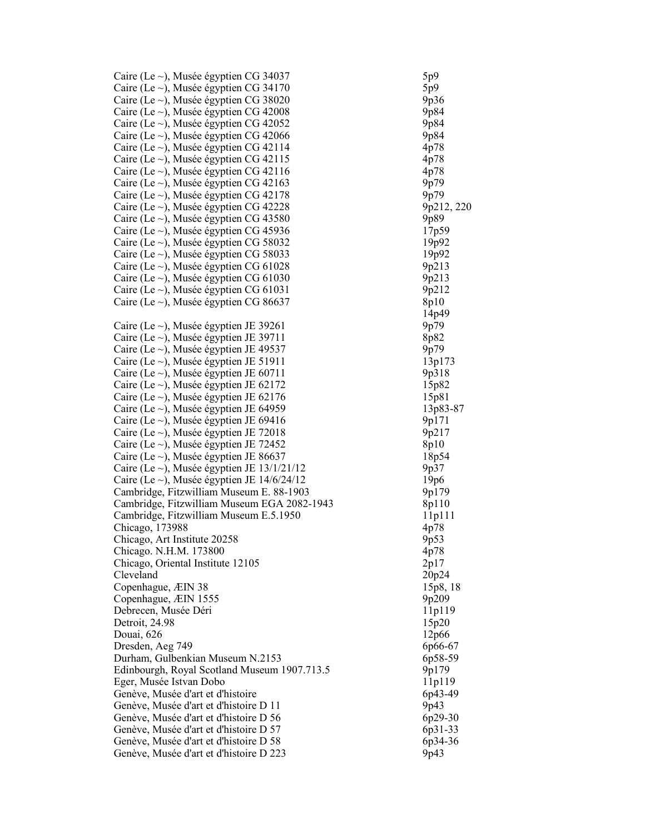| Caire (Le $\sim$ ), Musée égyptien CG 34037      | 5p9        |
|--------------------------------------------------|------------|
| Caire (Le $\sim$ ), Musée égyptien CG 34170      | 5p9        |
| Caire (Le $\sim$ ), Musée égyptien CG 38020      | 9p36       |
| Caire (Le $\sim$ ), Musée égyptien CG 42008      | 9p84       |
| Caire (Le $\sim$ ), Musée égyptien CG 42052      | 9p84       |
| Caire (Le $\sim$ ), Musée égyptien CG 42066      | 9p84       |
| Caire (Le $\sim$ ), Musée égyptien CG 42114      | 4p78       |
| Caire (Le $\sim$ ), Musée égyptien CG 42115      | 4p78       |
| Caire (Le $\sim$ ), Musée égyptien CG 42116      | 4p78       |
| Caire (Le ~), Musée égyptien CG 42163            | 9p79       |
|                                                  |            |
| Caire (Le $\sim$ ), Musée égyptien CG 42178      | 9p79       |
| Caire (Le $\sim$ ), Musée égyptien CG 42228      | 9p212, 220 |
| Caire (Le $\sim$ ), Musée égyptien CG 43580      | 9p89       |
| Caire (Le $\sim$ ), Musée égyptien CG 45936      | 17p59      |
| Caire (Le $\sim$ ), Musée égyptien CG 58032      | 19p92      |
| Caire (Le $\sim$ ), Musée égyptien CG 58033      | 19p92      |
| Caire (Le $\sim$ ), Musée égyptien CG 61028      | 9p213      |
| Caire (Le $\sim$ ), Musée égyptien CG 61030      | 9p213      |
| Caire (Le $\sim$ ), Musée égyptien CG 61031      | 9p212      |
| Caire (Le $\sim$ ), Musée égyptien CG 86637      | 8p10       |
|                                                  | 14p49      |
| Caire (Le $\sim$ ), Musée égyptien JE 39261      | 9p79       |
| Caire (Le $\sim$ ), Musée égyptien JE 39711      | 8p82       |
| Caire (Le $\sim$ ), Musée égyptien JE 49537      | 9p79       |
| Caire (Le $\sim$ ), Musée égyptien JE 51911      | 13p173     |
| Caire (Le $\sim$ ), Musée égyptien JE 60711      | 9p318      |
| Caire (Le $\sim$ ), Musée égyptien JE 62172      | 15p82      |
| Caire (Le $\sim$ ), Musée égyptien JE 62176      | 15p81      |
| Caire (Le $\sim$ ), Musée égyptien JE 64959      | 13p83-87   |
| Caire (Le $\sim$ ), Musée égyptien JE 69416      | 9p171      |
| Caire (Le $\sim$ ), Musée égyptien JE 72018      | 9p217      |
| Caire (Le $\sim$ ), Musée égyptien JE 72452      | 8p10       |
| Caire (Le $\sim$ ), Musée égyptien JE 86637      | 18p54      |
| Caire (Le $\sim$ ), Musée égyptien JE 13/1/21/12 | 9p37       |
| Caire (Le $\sim$ ), Musée égyptien JE 14/6/24/12 | 19p6       |
| Cambridge, Fitzwilliam Museum E. 88-1903         | 9p179      |
| Cambridge, Fitzwilliam Museum EGA 2082-1943      | 8p110      |
| Cambridge, Fitzwilliam Museum E.5.1950           | 11p111     |
| Chicago, 173988                                  | 4p78       |
| Chicago, Art Institute 20258                     | 9p53       |
| Chicago. N.H.M. 173800                           | 4p78       |
| Chicago, Oriental Institute 12105                | 2p17       |
| Cleveland                                        | 20p24      |
| Copenhague, ÆIN 38                               | 15p8, 18   |
| Copenhague, ÆIN 1555                             | 9p209      |
| Debrecen, Musée Déri                             | 11p119     |
| Detroit, 24.98                                   | 15p20      |
| Douai, 626                                       | 12p66      |
| Dresden, Aeg 749                                 | 6p66-67    |
| Durham, Gulbenkian Museum N.2153                 | 6p58-59    |
| Edinbourgh, Royal Scotland Museum 1907.713.5     | 9p179      |
| Eger, Musée Istvan Dobo                          | 11p119     |
| Genève, Musée d'art et d'histoire                | 6p43-49    |
| Genève, Musée d'art et d'histoire D 11           | 9p43       |
| Genève, Musée d'art et d'histoire D 56           | 6p29-30    |
| Genève, Musée d'art et d'histoire D 57           | 6p31-33    |
| Genève, Musée d'art et d'histoire D 58           | 6p34-36    |
| Genève, Musée d'art et d'histoire D 223          | 9p43       |
|                                                  |            |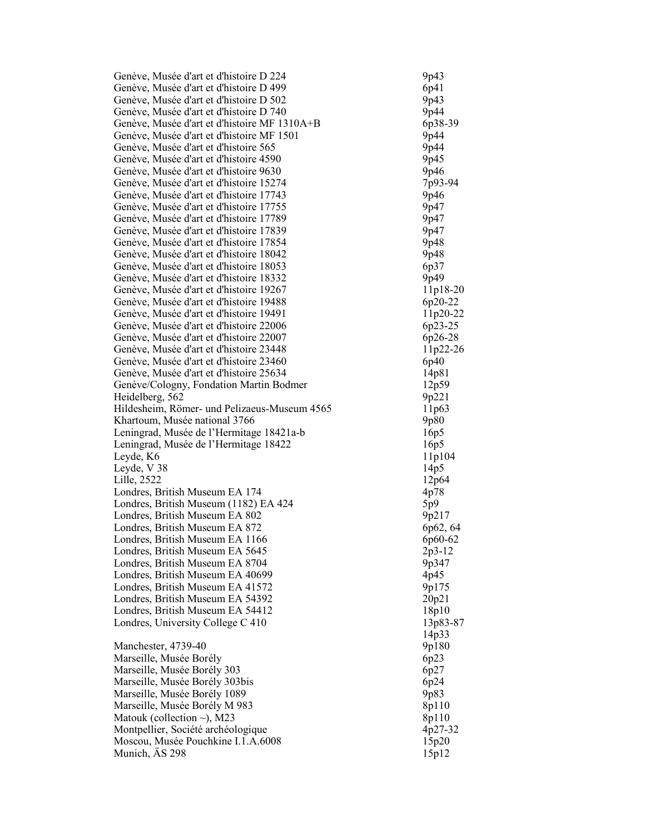| Genève, Musée d'art et d'histoire D 224                    | 9p43           |
|------------------------------------------------------------|----------------|
| Genève, Musée d'art et d'histoire D 499                    | 6p41           |
| Genève, Musée d'art et d'histoire D 502                    | 9p43           |
| Genève, Musée d'art et d'histoire D 740                    | 9p44           |
| Genève, Musée d'art et d'histoire MF 1310A+B               | 6p38-39        |
| Genève, Musée d'art et d'histoire MF 1501                  | 9p44           |
| Genève, Musée d'art et d'histoire 565                      | 9p44           |
| Genève, Musée d'art et d'histoire 4590                     | 9p45           |
| Genève, Musée d'art et d'histoire 9630                     | 9p46           |
| Genève, Musée d'art et d'histoire 15274                    | 7p93-94        |
| Genève, Musée d'art et d'histoire 17743                    | 9p46           |
| Genève, Musée d'art et d'histoire 17755                    | 9p47           |
| Genève, Musée d'art et d'histoire 17789                    | 9p47           |
| Genève, Musée d'art et d'histoire 17839                    | 9p47           |
| Genève, Musée d'art et d'histoire 17854                    | 9p48           |
| Genève, Musée d'art et d'histoire 18042                    | 9p48           |
| Genève, Musée d'art et d'histoire 18053                    | 6p37           |
| Genève, Musée d'art et d'histoire 18332                    | 9p49           |
| Genève, Musée d'art et d'histoire 19267                    | 11p18-20       |
| Genève, Musée d'art et d'histoire 19488                    | 6p20-22        |
| Genève, Musée d'art et d'histoire 19491                    | 11p20-22       |
| Genève, Musée d'art et d'histoire 22006                    | 6p23-25        |
| Genève, Musée d'art et d'histoire 22007                    | 6p26-28        |
| Genève, Musée d'art et d'histoire 23448                    | 11p22-26       |
| Genève, Musée d'art et d'histoire 23460                    | 6p40           |
| Genève, Musée d'art et d'histoire 25634                    | 14p81          |
| Genève/Cologny, Fondation Martin Bodmer<br>Heidelberg, 562 | 12p59<br>9p221 |
| Hildesheim, Römer- und Pelizaeus-Museum 4565               | 11p63          |
| Khartoum, Musée national 3766                              | 9p80           |
| Leningrad, Musée de l'Hermitage 18421a-b                   | 16p5           |
| Leningrad, Musée de l'Hermitage 18422                      | 16p5           |
| Leyde, K6                                                  | 11p104         |
| Leyde, V 38                                                | 14p5           |
| Lille, 2522                                                | 12p64          |
| Londres, British Museum EA 174                             | 4p78           |
| Londres, British Museum (1182) EA 424                      | 5p9            |
| Londres, British Museum EA 802                             | 9p217          |
| Londres, British Museum EA 872                             | 6p62, 64       |
| Londres, British Museum EA 1166                            | 6p60-62        |
| Londres, British Museum EA 5645                            | $2p3-12$       |
| Londres, British Museum EA 8704                            | 9p347          |
| Londres, British Museum EA 40699                           | 4p45           |
| Londres, British Museum EA 41572                           | 9p175          |
| Londres, British Museum EA 54392                           | 20p21          |
| Londres, British Museum EA 54412                           | 18p10          |
| Londres, University College C 410                          | 13p83-87       |
|                                                            | 14p33          |
| Manchester, 4739-40                                        | 9p180          |
| Marseille, Musée Borély                                    | 6p23           |
| Marseille, Musée Borély 303                                | 6p27           |
| Marseille, Musée Borély 303bis                             | 6p24           |
| Marseille, Musée Borély 1089                               | 9p83           |
| Marseille, Musée Borély M 983                              | 8p110          |
| Matouk (collection $\sim$ ), M23                           | 8p110          |
| Montpellier, Société archéologique                         | 4p27-32        |
| Moscou, Musée Pouchkine I.1.A.6008                         | 15p20          |
| Munich, AS 298                                             | 15p12          |